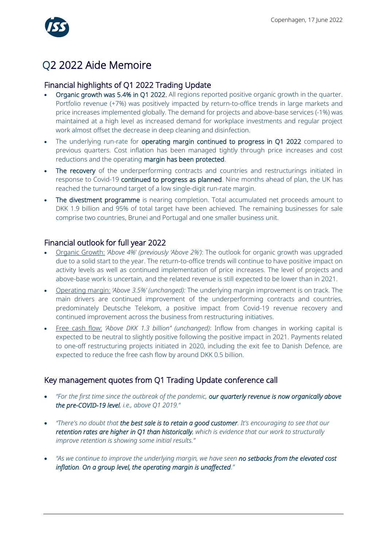

# Q2 2022 Aide Memoire

## Financial highlights of Q1 2022 Trading Update

- Organic growth was 5.4% in Q1 2022. All regions reported positive organic growth in the quarter. Portfolio revenue (+7%) was positively impacted by return-to-office trends in large markets and price increases implemented globally. The demand for projects and above-base services (-1%) was maintained at a high level as increased demand for workplace investments and regular project work almost offset the decrease in deep cleaning and disinfection.
- The underlying run-rate for operating margin continued to progress in Q1 2022 compared to previous quarters. Cost inflation has been managed tightly through price increases and cost reductions and the operating margin has been protected.
- The recovery of the underperforming contracts and countries and restructurings initiated in response to Covid-19 continued to progress as planned. Nine months ahead of plan, the UK has reached the turnaround target of a low single-digit run-rate margin.
- The divestment programme is nearing completion. Total accumulated net proceeds amount to DKK 1.9 billion and 95% of total target have been achieved. The remaining businesses for sale comprise two countries, Brunei and Portugal and one smaller business unit.

#### Financial outlook for full year 2022

- Organic Growth: *'Above 4%*' *(previously 'Above 2%')*: The outlook for organic growth was upgraded due to a solid start to the year. The return-to-office trends will continue to have positive impact on activity levels as well as continued implementation of price increases. The level of projects and above-base work is uncertain, and the related revenue is still expected to be lower than in 2021.
- Operating margin: *'Above 3.5%' (unchanged):* The underlying margin improvement is on track. The main drivers are continued improvement of the underperforming contracts and countries, predominately Deutsche Telekom, a positive impact from Covid-19 revenue recovery and continued improvement across the business from restructuring initiatives.
- Free cash flow: *'Above DKK 1.3 billion'' (unchanged)*: Inflow from changes in working capital is expected to be neutral to slightly positive following the positive impact in 2021. Payments related to one-off restructuring projects initiated in 2020, including the exit fee to Danish Defence, are expected to reduce the free cash flow by around DKK 0.5 billion.

# Key management quotes from Q1 Trading Update conference call

- *"For the first time since the outbreak of the pandemic, our quarterly revenue is now organically above the pre-COVID-19 level, i.e., above Q1 2019."*
- *"There's no doubt that the best sale is to retain a good customer. It's encouraging to see that our retention rates are higher in Q1 than historically, which is evidence that our work to structurally improve retention is showing some initial results."*
- *"As we continue to improve the underlying margin, we have seen no setbacks from the elevated cost inflation. On a group level, the operating margin is unaffected."*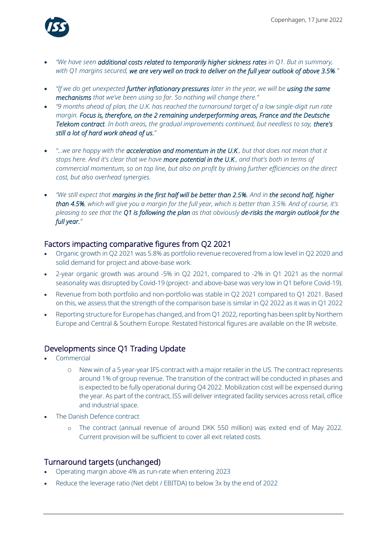

- *"We have seen additional costs related to temporarily higher sickness rates in Q1. But in summary, with Q1 margins secured, we are very well on track to deliver on the full year outlook of above 3.5%."*
- *"If we do get unexpected further inflationary pressures later in the year, we will be using the same mechanisms that we've been using so far. So nothing will change there."*
- *"9 months ahead of plan, the U.K. has reached the turnaround target of a low single-digit run rate margin. Focus is, therefore, on the 2 remaining underperforming areas, France and the Deutsche Telekom contract. In both areas, the gradual improvements continued, but needless to say, there's still a lot of hard work ahead of us."*
- *"…we are happy with the acceleration and momentum in the U.K., but that does not mean that it stops here. And it's clear that we have more potential in the U.K., and that's both in terms of commercial momentum, so on top line, but also on profit by driving further efficiencies on the direct cost, but also overhead synergies.*
- *"We still expect that margins in the first half will be better than 2.5%. And in the second half, higher than 4.5%, which will give you a margin for the full year, which is better than 3.5%. And of course, it's pleasing to see that the Q1 is following the plan as that obviously de-risks the margin outlook for the full year."*

### Factors impacting comparative figures from Q2 2021

- Organic growth in Q2 2021 was 5.8% as portfolio revenue recovered from a low level in Q2 2020 and solid demand for project and above-base work.
- 2-year organic growth was around -5% in Q2 2021, compared to -2% in Q1 2021 as the normal seasonality was disrupted by Covid-19 (project- and above-base was very low in Q1 before Covid-19).
- Revenue from both portfolio and non-portfolio was stable in Q2 2021 compared to Q1 2021. Based on this, we assess that the strength of the comparison base is similar in Q2 2022 as it was in Q1 2022
- Reporting structure for Europe has changed, and from Q1 2022, reporting has been split by Northern Europe and Central & Southern Europe. Restated historical figures are available on the IR website.

# Developments since Q1 Trading Update

- **Commercial** 
	- O New win of a 5 year-year IFS-contract with a major retailer in the US. The contract represents around 1% of group revenue. The transition of the contract will be conducted in phases and is expected to be fully operational during Q4 2022. Mobilization cost will be expensed during the year. As part of the contract, ISS will deliver integrated facility services across retail, office and industrial space.
- The Danish Defence contract
	- o The contract (annual revenue of around DKK 550 million) was exited end of May 2022. Current provision will be sufficient to cover all exit related costs.

#### Turnaround targets (unchanged)

- Operating margin above 4% as run-rate when entering 2023
- Reduce the leverage ratio (Net debt / EBITDA) to below 3x by the end of 2022